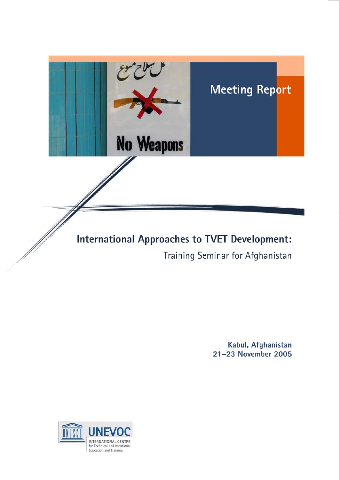

Kabul, Afghanistan 21-23 November 2005

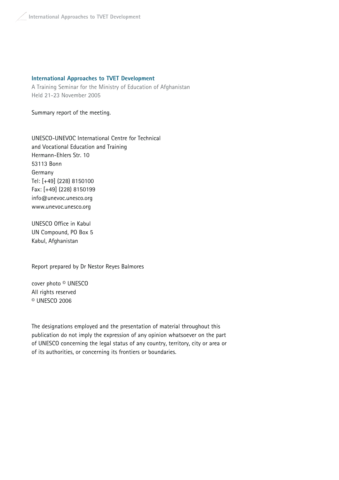#### **International Approaches to TVET Development**

A Training Seminar for the Ministry of Education of Afghanistan Held 21-23 November 2005

Summary report of the meeting.

UNESCO-UNEVOC International Centre for Technical and Vocational Education and Training Hermann-Ehlers Str. 10 53113 Bonn Germany Tel: [+49] (228) 8150100 Fax: [+49] (228) 8150199 info@unevoc.unesco.org www.unevoc.unesco.org

UNESCO Office in Kabul UN Compound, PO Box 5 Kabul, Afghanistan

Report prepared by Dr Nestor Reyes Balmores

cover photo © UNESCO All rights reserved © UNESCO 2006

The designations employed and the presentation of material throughout this publication do not imply the expression of any opinion whatsoever on the part of UNESCO concerning the legal status of any country, territory, city or area or of its authorities, or concerning its frontiers or boundaries.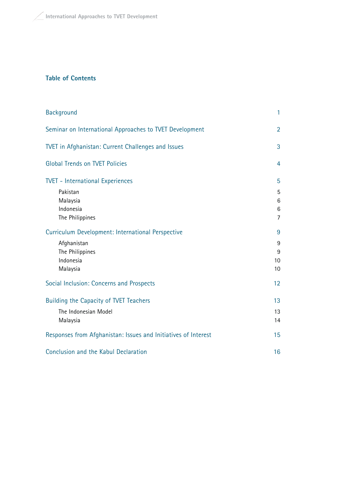#### **Table of Contents**

| <b>Background</b>                                              | 1                   |
|----------------------------------------------------------------|---------------------|
| Seminar on International Approaches to TVET Development        | $\overline{2}$      |
| <b>TVET</b> in Afghanistan: Current Challenges and Issues      | 3                   |
| <b>Global Trends on TVET Policies</b>                          | 4                   |
| <b>TVET - International Experiences</b>                        | 5                   |
| Pakistan                                                       | 5                   |
| Malaysia                                                       | 6                   |
| Indonesia<br>The Philippines                                   | 6<br>$\overline{7}$ |
|                                                                |                     |
| Curriculum Development: International Perspective              | 9                   |
| Afghanistan                                                    | 9                   |
| The Philippines                                                | 9                   |
| Indonesia                                                      | 10                  |
| Malaysia                                                       | 10                  |
| Social Inclusion: Concerns and Prospects                       | 12                  |
| Building the Capacity of TVET Teachers                         | 13                  |
| The Indonesian Model                                           | 13                  |
| Malaysia                                                       | 14                  |
| Responses from Afghanistan: Issues and Initiatives of Interest | 15                  |
| Conclusion and the Kabul Declaration                           | 16                  |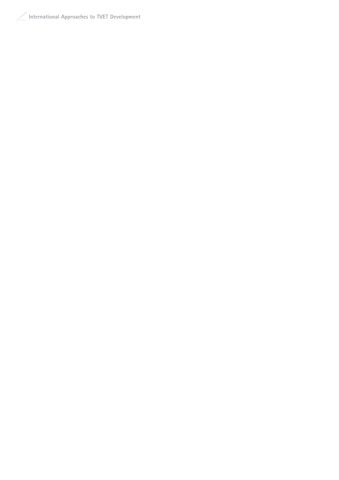**International Approaches to TVET Development**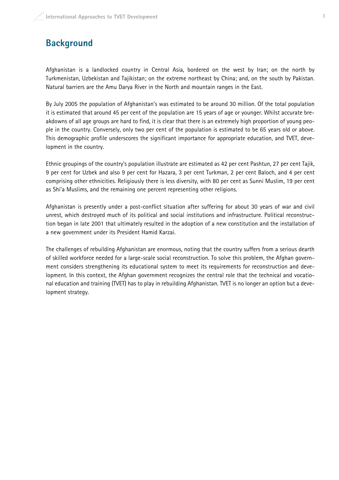## **Background**

Afghanistan is a landlocked country in Central Asia, bordered on the west by Iran; on the north by Turkmenistan, Uzbekistan and Tajikistan; on the extreme northeast by China; and, on the south by Pakistan. Natural barriers are the Amu Darya River in the North and mountain ranges in the East.

By July 2005 the population of Afghanistan's was estimated to be around 30 million. Of the total population it is estimated that around 45 per cent of the population are 15 years of age or younger. Whilst accurate breakdowns of all age groups are hard to find, it is clear that there is an extremely high proportion of young people in the country. Conversely, only two per cent of the population is estimated to be 65 years old or above. This demographic profile underscores the significant importance for appropriate education, and TVET, development in the country.

Ethnic groupings of the country's population illustrate are estimated as 42 per cent Pashtun, 27 per cent Tajik, 9 per cent for Uzbek and also 9 per cent for Hazara, 3 per cent Turkman, 2 per cent Baloch, and 4 per cent comprising other ethnicities. Religiously there is less diversity, with 80 per cent as Sunni Muslim, 19 per cent as Shi'a Muslims, and the remaining one percent representing other religions.

Afghanistan is presently under a post-conflict situation after suffering for about 30 years of war and civil unrest, which destroyed much of its political and social institutions and infrastructure. Political reconstruction began in late 2001 that ultimately resulted in the adoption of a new constitution and the installation of a new government under its President Hamid Karzai.

The challenges of rebuilding Afghanistan are enormous, noting that the country suffers from a serious dearth of skilled workforce needed for a large-scale social reconstruction. To solve this problem, the Afghan government considers strengthening its educational system to meet its requirements for reconstruction and development. In this context, the Afghan government recognizes the central role that the technical and vocational education and training (TVET) has to play in rebuilding Afghanistan. TVET is no longer an option but a development strategy.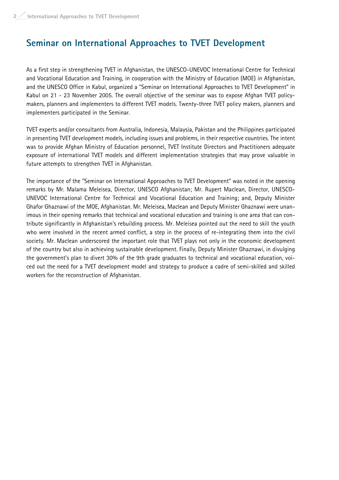## **Seminar on International Approaches to TVET Development**

As a first step in strengthening TVET in Afghanistan, the UNESCO-UNEVOC International Centre for Technical and Vocational Education and Training, in cooperation with the Ministry of Education (MOE) in Afghanistan, and the UNESCO Office in Kabul, organized a "Seminar on International Approaches to TVET Development" in Kabul on 21 - 23 November 2005. The overall objective of the seminar was to expose Afghan TVET policymakers, planners and implementers to different TVET models. Twenty-three TVET policy makers, planners and implementers participated in the Seminar.

TVET experts and/or consultants from Australia, Indonesia, Malaysia, Pakistan and the Philippines participated in presenting TVET development models, including issues and problems, in their respective countries. The intent was to provide Afghan Ministry of Education personnel, TVET Institute Directors and Practitioners adequate exposure of international TVET models and different implementation strategies that may prove valuable in future attempts to strengthen TVET in Afghanistan.

The importance of the "Seminar on International Approaches to TVET Development" was noted in the opening remarks by Mr. Malama Meleisea, Director, UNESCO Afghanistan; Mr. Rupert Maclean, Director, UNESCO-UNEVOC International Centre for Technical and Vocational Education and Training; and, Deputy Minister Ghafor Ghaznawi of the MOE, Afghanistan. Mr. Meleisea, Maclean and Deputy Minister Ghaznawi were unanimous in their opening remarks that technical and vocational education and training is one area that can contribute significantly in Afghanistan's rebuilding process. Mr. Meleisea pointed out the need to skill the youth who were involved in the recent armed conflict, a step in the process of re-integrating them into the civil society. Mr. Maclean underscored the important role that TVET plays not only in the economic development of the country but also in achieving sustainable development. Finally, Deputy Minister Ghaznawi, in divulging the government's plan to divert 30% of the 9th grade graduates to technical and vocational education, voiced out the need for a TVET development model and strategy to produce a cadre of semi-skilled and skilled workers for the reconstruction of Afghanistan.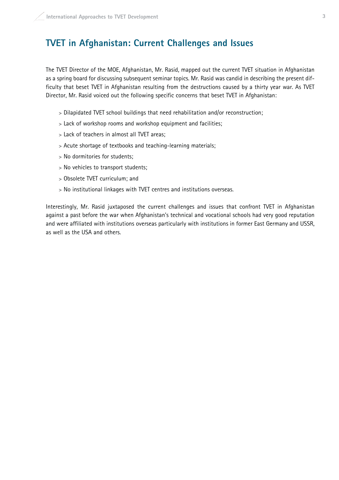### **TVET in Afghanistan: Current Challenges and Issues**

The TVET Director of the MOE, Afghanistan, Mr. Rasid, mapped out the current TVET situation in Afghanistan as a spring board for discussing subsequent seminar topics. Mr. Rasid was candid in describing the present difficulty that beset TVET in Afghanistan resulting from the destructions caused by a thirty year war. As TVET Director, Mr. Rasid voiced out the following specific concerns that beset TVET in Afghanistan:

- > Dilapidated TVET school buildings that need rehabilitation and/or reconstruction;
- > Lack of workshop rooms and workshop equipment and facilities;
- > Lack of teachers in almost all TVET areas;
- > Acute shortage of textbooks and teaching-learning materials;
- > No dormitories for students;
- > No vehicles to transport students;
- > Obsolete TVET curriculum; and
- > No institutional linkages with TVET centres and institutions overseas.

Interestingly, Mr. Rasid juxtaposed the current challenges and issues that confront TVET in Afghanistan against a past before the war when Afghanistan's technical and vocational schools had very good reputation and were affiliated with institutions overseas particularly with institutions in former East Germany and USSR, as well as the USA and others.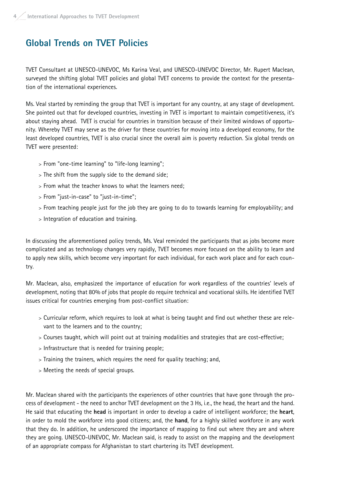## **Global Trends on TVET Policies**

TVET Consultant at UNESCO-UNEVOC, Ms Karina Veal, and UNESCO-UNEVOC Director, Mr. Rupert Maclean, surveyed the shifting global TVET policies and global TVET concerns to provide the context for the presentation of the international experiences.

Ms. Veal started by reminding the group that TVET is important for any country, at any stage of development. She pointed out that for developed countries, investing in TVET is important to maintain competitiveness, it's about staying ahead. TVET is crucial for countries in transition because of their limited windows of opportunity. Whereby TVET may serve as the driver for these countries for moving into a developed economy, for the least developed countries, TVET is also crucial since the overall aim is poverty reduction. Six global trends on TVET were presented:

- > From "one-time learning" to "life-long learning";
- > The shift from the supply side to the demand side;
- > From what the teacher knows to what the learners need;
- > From "just-in-case" to "just-in-time";
- > From teaching people just for the job they are going to do to towards learning for employability; and
- > Integration of education and training.

In discussing the aforementioned policy trends, Ms. Veal reminded the participants that as jobs become more complicated and as technology changes very rapidly, TVET becomes more focused on the ability to learn and to apply new skills, which become very important for each individual, for each work place and for each country.

Mr. Maclean, also, emphasized the importance of education for work regardless of the countries' levels of development, noting that 80% of jobs that people do require technical and vocational skills. He identified TVET issues critical for countries emerging from post-conflict situation:

- > Curricular reform, which requires to look at what is being taught and find out whether these are relevant to the learners and to the country;
- > Courses taught, which will point out at training modalities and strategies that are cost-effective;
- > Infrastructure that is needed for training people;
- > Training the trainers, which requires the need for quality teaching; and,
- > Meeting the needs of special groups.

Mr. Maclean shared with the participants the experiences of other countries that have gone through the process of development - the need to anchor TVET development on the 3 Hs, i.e., the head, the heart and the hand. He said that educating the **head** is important in order to develop a cadre of intelligent workforce; the **heart**, in order to mold the workforce into good citizens; and, the **hand**, for a highly skilled workforce in any work that they do. In addition, he underscored the importance of mapping to find out where they are and where they are going. UNESCO-UNEVOC, Mr. Maclean said, is ready to assist on the mapping and the development of an appropriate compass for Afghanistan to start chartering its TVET development.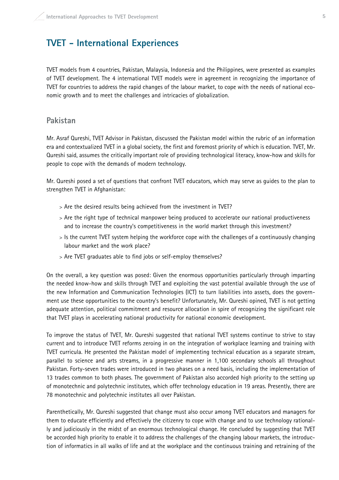### **TVET - International Experiences**

TVET models from 4 countries, Pakistan, Malaysia, Indonesia and the Philippines, were presented as examples of TVET development. The 4 international TVET models were in agreement in recognizing the importance of TVET for countries to address the rapid changes of the labour market, to cope with the needs of national economic growth and to meet the challenges and intricacies of globalization.

#### **Pakistan**

Mr. Asraf Qureshi, TVET Advisor in Pakistan, discussed the Pakistan model within the rubric of an information era and contextualized TVET in a global society, the first and foremost priority of which is education. TVET, Mr. Qureshi said, assumes the critically important role of providing technological literacy, know-how and skills for people to cope with the demands of modern technology.

Mr. Qureshi posed a set of questions that confront TVET educators, which may serve as guides to the plan to strengthen TVET in Afghanistan:

- > Are the desired results being achieved from the investment in TVET?
- > Are the right type of technical manpower being produced to accelerate our national productiveness and to increase the country's competitiveness in the world market through this investment?
- > Is the current TVET system helping the workforce cope with the challenges of a continuously changing labour market and the work place?
- > Are TVET graduates able to find jobs or self-employ themselves?

On the overall, a key question was posed: Given the enormous opportunities particularly through imparting the needed know-how and skills through TVET and exploiting the vast potential available through the use of the new Information and Communication Technologies (ICT) to turn liabilities into assets, does the government use these opportunities to the country's benefit? Unfortunately, Mr. Qureshi opined, TVET is not getting adequate attention, political commitment and resource allocation in spire of recognizing the significant role that TVET plays in accelerating national productivity for national economic development.

To improve the status of TVET, Mr. Qureshi suggested that national TVET systems continue to strive to stay current and to introduce TVET reforms zeroing in on the integration of workplace learning and training with TVET curricula. He presented the Pakistan model of implementing technical education as a separate stream, parallel to science and arts streams, in a progressive manner in 1,100 secondary schools all throughout Pakistan. Forty-seven trades were introduced in two phases on a need basis, including the implementation of 13 trades common to both phases. The government of Pakistan also accorded high priority to the setting up of monotechnic and polytechnic institutes, which offer technology education in 19 areas. Presently, there are 78 monotechnic and polytechnic institutes all over Pakistan.

Parenthetically, Mr. Qureshi suggested that change must also occur among TVET educators and managers for them to educate efficiently and effectively the citizenry to cope with change and to use technology rationally and judiciously in the midst of an enormous technological change. He concluded by suggesting that TVET be accorded high priority to enable it to address the challenges of the changing labour markets, the introduction of informatics in all walks of life and at the workplace and the continuous training and retraining of the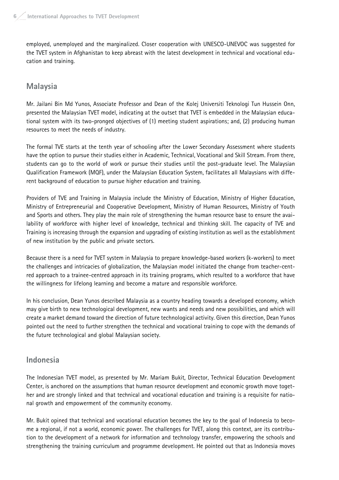employed, unemployed and the marginalized. Closer cooperation with UNESCO-UNEVOC was suggested for the TVET system in Afghanistan to keep abreast with the latest development in technical and vocational education and training.

### **Malaysia**

Mr. Jailani Bin Md Yunos, Associate Professor and Dean of the Kolej Universiti Teknologi Tun Hussein Onn, presented the Malaysian TVET model, indicating at the outset that TVET is embedded in the Malaysian educational system with its two-pronged objectives of (1) meeting student aspirations; and, (2) producing human resources to meet the needs of industry.

The formal TVE starts at the tenth year of schooling after the Lower Secondary Assessment where students have the option to pursue their studies either in Academic, Technical, Vocational and Skill Stream. From there, students can go to the world of work or pursue their studies until the post-graduate level. The Malaysian Qualification Framework (MQF), under the Malaysian Education System, facilitates all Malaysians with different background of education to pursue higher education and training.

Providers of TVE and Training in Malaysia include the Ministry of Education, Ministry of Higher Education, Ministry of Entrepreneurial and Cooperative Development, Ministry of Human Resources, Ministry of Youth and Sports and others. They play the main role of strengthening the human resource base to ensure the availability of workforce with higher level of knowledge, technical and thinking skill. The capacity of TVE and Training is increasing through the expansion and upgrading of existing institution as well as the establishment of new institution by the public and private sectors.

Because there is a need for TVET system in Malaysia to prepare knowledge-based workers (k-workers) to meet the challenges and intricacies of globalization, the Malaysian model initiated the change from teacher-centred approach to a trainee-centred approach in its training programs, which resulted to a workforce that have the willingness for lifelong learning and become a mature and responsible workforce.

In his conclusion, Dean Yunos described Malaysia as a country heading towards a developed economy, which may give birth to new technological development, new wants and needs and new possibilities, and which will create a market demand toward the direction of future technological activity. Given this direction, Dean Yunos pointed out the need to further strengthen the technical and vocational training to cope with the demands of the future technological and global Malaysian society.

#### **Indonesia**

The Indonesian TVET model, as presented by Mr. Mariam Bukit, Director, Technical Education Development Center, is anchored on the assumptions that human resource development and economic growth move together and are strongly linked and that technical and vocational education and training is a requisite for national growth and empowerment of the community economy.

Mr. Bukit opined that technical and vocational education becomes the key to the goal of Indonesia to become a regional, if not a world, economic power. The challenges for TVET, along this context, are its contribution to the development of a network for information and technology transfer, empowering the schools and strengthening the training curriculum and programme development. He pointed out that as Indonesia moves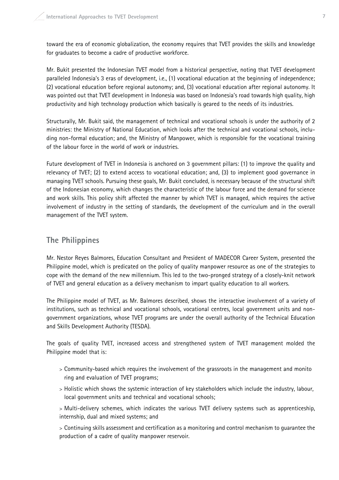toward the era of economic globalization, the economy requires that TVET provides the skills and knowledge for graduates to become a cadre of productive workforce.

Mr. Bukit presented the Indonesian TVET model from a historical perspective, noting that TVET development paralleled Indonesia's 3 eras of development, i.e., (1) vocational education at the beginning of independence; (2) vocational education before regional autonomy; and, (3) vocational education after regional autonomy. It was pointed out that TVET development in Indonesia was based on Indonesia's road towards high quality, high productivity and high technology production which basically is geared to the needs of its industries.

Structurally, Mr. Bukit said, the management of technical and vocational schools is under the authority of 2 ministries: the Ministry of National Education, which looks after the technical and vocational schools, including non-formal education; and, the Ministry of Manpower, which is responsible for the vocational training of the labour force in the world of work or industries.

Future development of TVET in Indonesia is anchored on 3 government pillars: (1) to improve the quality and relevancy of TVET; (2) to extend access to vocational education; and, (3) to implement good governance in managing TVET schools. Pursuing these goals, Mr. Bukit concluded, is necessary because of the structural shift of the Indonesian economy, which changes the characteristic of the labour force and the demand for science and work skills. This policy shift affected the manner by which TVET is managed, which requires the active involvement of industry in the setting of standards, the development of the curriculum and in the overall management of the TVET system.

#### **The Philippines**

Mr. Nestor Reyes Balmores, Education Consultant and President of MADECOR Career System, presented the Philippine model, which is predicated on the policy of quality manpower resource as one of the strategies to cope with the demand of the new millennium. This led to the two-pronged strategy of a closely-knit network of TVET and general education as a delivery mechanism to impart quality education to all workers.

The Philippine model of TVET, as Mr. Balmores described, shows the interactive involvement of a variety of institutions, such as technical and vocational schools, vocational centres, local government units and nongovernment organizations, whose TVET programs are under the overall authority of the Technical Education and Skills Development Authority (TESDA).

The goals of quality TVET, increased access and strengthened system of TVET management molded the Philippine model that is:

- > Community-based which requires the involvement of the grassroots in the management and monito ring and evaluation of TVET programs;
- > Holistic which shows the systemic interaction of key stakeholders which include the industry, labour, local government units and technical and vocational schools;

> Multi-delivery schemes, which indicates the various TVET delivery systems such as apprenticeship, internship, dual and mixed systems; and

> Continuing skills assessment and certification as a monitoring and control mechanism to guarantee the production of a cadre of quality manpower reservoir.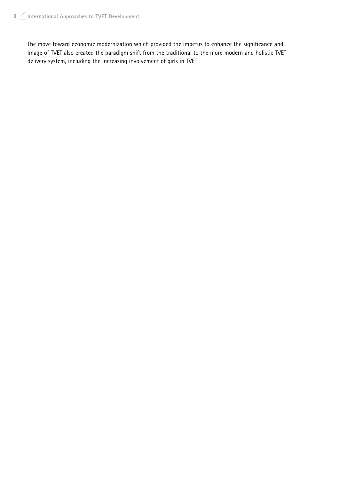The move toward economic modernization which provided the impetus to enhance the significance and image of TVET also created the paradigm shift from the traditional to the more modern and holistic TVET delivery system, including the increasing involvement of girls in TVET.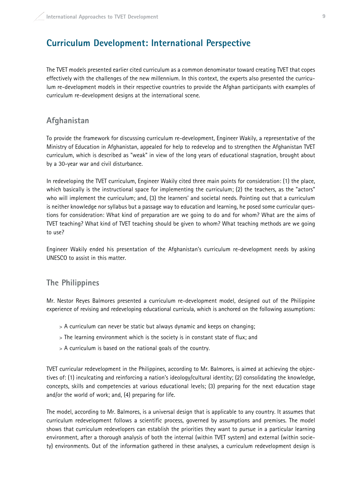### **Curriculum Development: International Perspective**

The TVET models presented earlier cited curriculum as a common denominator toward creating TVET that copes effectively with the challenges of the new millennium. In this context, the experts also presented the curriculum re-development models in their respective countries to provide the Afghan participants with examples of curriculum re-development designs at the international scene.

#### **Afghanistan**

To provide the framework for discussing curriculum re-development, Engineer Wakily, a representative of the Ministry of Education in Afghanistan, appealed for help to redevelop and to strengthen the Afghanistan TVET curriculum, which is described as "weak" in view of the long years of educational stagnation, brought about by a 30-year war and civil disturbance.

In redeveloping the TVET curriculum, Engineer Wakily cited three main points for consideration: (1) the place, which basically is the instructional space for implementing the curriculum; (2) the teachers, as the "actors" who will implement the curriculum; and, (3) the learners' and societal needs. Pointing out that a curriculum is neither knowledge nor syllabus but a passage way to education and learning, he posed some curricular questions for consideration: What kind of preparation are we going to do and for whom? What are the aims of TVET teaching? What kind of TVET teaching should be given to whom? What teaching methods are we going to use?

Engineer Wakily ended his presentation of the Afghanistan's curriculum re-development needs by asking UNESCO to assist in this matter.

#### **The Philippines**

Mr. Nestor Reyes Balmores presented a curriculum re-development model, designed out of the Philippine experience of revising and redeveloping educational curricula, which is anchored on the following assumptions:

- > A curriculum can never be static but always dynamic and keeps on changing;
- > The learning environment which is the society is in constant state of flux; and
- > A curriculum is based on the national goals of the country.

TVET curricular redevelopment in the Philippines, according to Mr. Balmores, is aimed at achieving the objectives of: (1) inculcating and reinforcing a nation's ideology/cultural identity; (2) consolidating the knowledge, concepts, skills and competencies at various educational levels; (3) preparing for the next education stage and/or the world of work; and, (4) preparing for life.

The model, according to Mr. Balmores, is a universal design that is applicable to any country. It assumes that curriculum redevelopment follows a scientific process, governed by assumptions and premises. The model shows that curriculum redevelopers can establish the priorities they want to pursue in a particular learning environment, after a thorough analysis of both the internal (within TVET system) and external (within society) environments. Out of the information gathered in these analyses, a curriculum redevelopment design is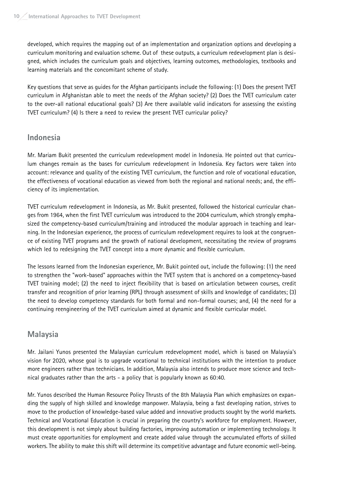developed, which requires the mapping out of an implementation and organization options and developing a curriculum monitoring and evaluation scheme. Out of these outputs, a curriculum redevelopment plan is designed, which includes the curriculum goals and objectives, learning outcomes, methodologies, textbooks and learning materials and the concomitant scheme of study.

Key questions that serve as guides for the Afghan participants include the following: (1) Does the present TVET curriculum in Afghanistan able to meet the needs of the Afghan society? (2) Does the TVET curriculum cater to the over-all national educational goals? (3) Are there available valid indicators for assessing the existing TVET curriculum? (4) Is there a need to review the present TVET curricular policy?

#### **Indonesia**

Mr. Mariam Bukit presented the curriculum redevelopment model in Indonesia. He pointed out that curriculum changes remain as the bases for curriculum redevelopment in Indonesia. Key factors were taken into account: relevance and quality of the existing TVET curriculum, the function and role of vocational education, the effectiveness of vocational education as viewed from both the regional and national needs; and, the efficiency of its implementation.

TVET curriculum redevelopment in Indonesia, as Mr. Bukit presented, followed the historical curricular changes from 1964, when the first TVET curriculum was introduced to the 2004 curriculum, which strongly emphasized the competency-based curriculum/training and introduced the modular approach in teaching and learning. In the Indonesian experience, the process of curriculum redevelopment requires to look at the congruence of existing TVET programs and the growth of national development, necessitating the review of programs which led to redesigning the TVET concept into a more dynamic and flexible curriculum.

The lessons learned from the Indonesian experience, Mr. Bukit pointed out, include the following: (1) the need to strengthen the "work-based" approaches within the TVET system that is anchored on a competency-based TVET training model; (2) the need to inject flexibility that is based on articulation between courses, credit transfer and recognition of prior learning (RPL) through assessment of skills and knowledge of candidates; (3) the need to develop competency standards for both formal and non-formal courses; and, (4) the need for a continuing reengineering of the TVET curriculum aimed at dynamic and flexible curricular model.

### **Malaysia**

Mr. Jailani Yunos presented the Malaysian curriculum redevelopment model, which is based on Malaysia's vision for 2020, whose goal is to upgrade vocational to technical institutions with the intention to produce more engineers rather than technicians. In addition, Malaysia also intends to produce more science and technical graduates rather than the arts - a policy that is popularly known as 60:40.

Mr. Yunos described the Human Resource Policy Thrusts of the 8th Malaysia Plan which emphasizes on expanding the supply of high skilled and knowledge manpower. Malaysia, being a fast developing nation, strives to move to the production of knowledge-based value added and innovative products sought by the world markets. Technical and Vocational Education is crucial in preparing the country's workforce for employment. However, this development is not simply about building factories, improving automation or implementing technology. It must create opportunities for employment and create added value through the accumulated efforts of skilled workers. The ability to make this shift will determine its competitive advantage and future economic well-being.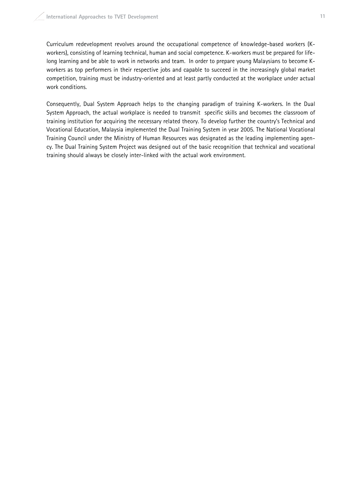Curriculum redevelopment revolves around the occupational competence of knowledge-based workers (Kworkers), consisting of learning technical, human and social competence. K-workers must be prepared for lifelong learning and be able to work in networks and team. In order to prepare young Malaysians to become Kworkers as top performers in their respective jobs and capable to succeed in the increasingly global market competition, training must be industry-oriented and at least partly conducted at the workplace under actual work conditions.

Consequently, Dual System Approach helps to the changing paradigm of training K-workers. In the Dual System Approach, the actual workplace is needed to transmit specific skills and becomes the classroom of training institution for acquiring the necessary related theory. To develop further the country's Technical and Vocational Education, Malaysia implemented the Dual Training System in year 2005. The National Vocational Training Council under the Ministry of Human Resources was designated as the leading implementing agency. The Dual Training System Project was designed out of the basic recognition that technical and vocational training should always be closely inter-linked with the actual work environment.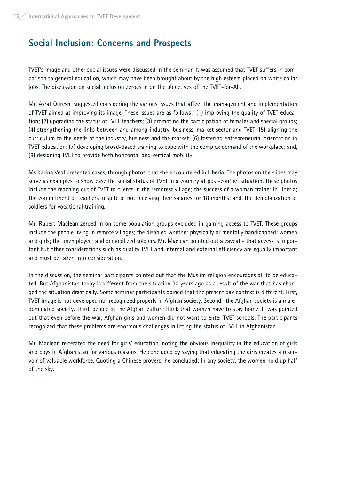## **Social Inclusion: Concerns and Prospects**

TVET's image and other social issues were discussed in the seminar. It was assumed that TVET suffers in comparison to general education, which may have been brought about by the high esteem placed on white collar jobs. The discussion on social inclusion zeroes in on the objectives of the TVET-for-All.

Mr. Asraf Qureshi suggested considering the various issues that affect the management and implementation of TVET aimed at improving its image. These issues are as follows: (1) improving the quality of TVET education; (2) upgrading the status of TVET teachers; (3) promoting the participation of females and special groups; (4) strengthening the links between and among industry, business, market sector and TVET; (5) aligning the curriculum to the needs of the industry, business and the market; (6) fostering entrepreneurial orientation in TVET education; (7) developing broad-based training to cope with the complex demand of the workplace; and, (8) designing TVET to provide both horizontal and vertical mobility.

Ms Karina Veal presented cases, through photos, that she encountered in Liberia. The photos on the slides may serve as examples to show case the social status of TVET in a country at post-conflict situation. These photos include the reaching out of TVET to clients in the remotest village; the success of a woman trainer in Liberia; the commitment of teachers in spite of not receiving their salaries for 18 months; and, the demobilization of soldiers for vocational training.

Mr. Rupert Maclean zeroed in on some population groups excluded in gaining access to TVET. These groups include the people living in remote villages; the disabled whether physically or mentally handicapped; women and girls; the unemployed; and demobilized soldiers. Mr. Maclean pointed out a caveat - that access is important but other considerations such as quality TVET and internal and external efficiency are equally important and must be taken into consideration.

In the discussion, the seminar participants pointed out that the Muslim religion encourages all to be educated. But Afghanistan today is different from the situation 30 years ago as a result of the war that has changed the situation drastically. Some seminar participants opined that the present day context is different. First, TVET image is not developed nor recognized properly in Afghan society. Second, the Afghan society is a maledominated society. Third, people in the Afghan culture think that women have to stay home. It was pointed out that even before the war, Afghan girls and women did not want to enter TVET schools. The participants recognized that these problems are enormous challenges in lifting the status of TVET in Afghanistan.

Mr. Maclean reiterated the need for girls' education, noting the obvious inequality in the education of girls and boys in Afghanistan for various reasons. He concluded by saying that educating the girls creates a reservoir of valuable workforce. Quoting a Chinese proverb, he concluded: In any society, the women hold up half of the sky.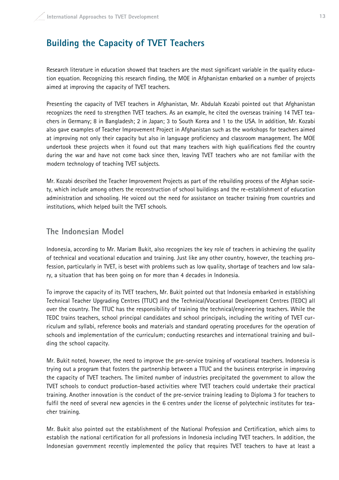## **Building the Capacity of TVET Teachers**

Research literature in education showed that teachers are the most significant variable in the quality education equation. Recognizing this research finding, the MOE in Afghanistan embarked on a number of projects aimed at improving the capacity of TVET teachers.

Presenting the capacity of TVET teachers in Afghanistan, Mr. Abdulah Kozabi pointed out that Afghanistan recognizes the need to strengthen TVET teachers. As an example, he cited the overseas training 14 TVET teachers in Germany; 8 in Bangladesh; 2 in Japan; 3 to South Korea and 1 to the USA. In addition, Mr. Kozabi also gave examples of Teacher Improvement Project in Afghanistan such as the workshops for teachers aimed at improving not only their capacity but also in language proficiency and classroom management. The MOE undertook these projects when it found out that many teachers with high qualifications fled the country during the war and have not come back since then, leaving TVET teachers who are not familiar with the modern technology of teaching TVET subjects.

Mr. Kozabi described the Teacher Improvement Projects as part of the rebuilding process of the Afghan society, which include among others the reconstruction of school buildings and the re-establishment of education administration and schooling. He voiced out the need for assistance on teacher training from countries and institutions, which helped built the TVET schools.

#### **The Indonesian Model**

Indonesia, according to Mr. Mariam Bukit, also recognizes the key role of teachers in achieving the quality of technical and vocational education and training. Just like any other country, however, the teaching profession, particularly in TVET, is beset with problems such as low quality, shortage of teachers and low salary, a situation that has been going on for more than 4 decades in Indonesia.

To improve the capacity of its TVET teachers, Mr. Bukit pointed out that Indonesia embarked in establishing Technical Teacher Upgrading Centres (TTUC) and the Technical/Vocational Development Centres (TEDC) all over the country. The TTUC has the responsibility of training the technical/engineering teachers. While the TEDC trains teachers, school principal candidates and school principals, including the writing of TVET curriculum and syllabi, reference books and materials and standard operating procedures for the operation of schools and implementation of the curriculum; conducting researches and international training and building the school capacity.

Mr. Bukit noted, however, the need to improve the pre-service training of vocational teachers. Indonesia is trying out a program that fosters the partnership between a TTUC and the business enterprise in improving the capacity of TVET teachers. The limited number of industries precipitated the government to allow the TVET schools to conduct production-based activities where TVET teachers could undertake their practical training. Another innovation is the conduct of the pre-service training leading to Diploma 3 for teachers to fulfil the need of several new agencies in the 6 centres under the license of polytechnic institutes for teacher training.

Mr. Bukit also pointed out the establishment of the National Profession and Certification, which aims to establish the national certification for all professions in Indonesia including TVET teachers. In addition, the Indonesian government recently implemented the policy that requires TVET teachers to have at least a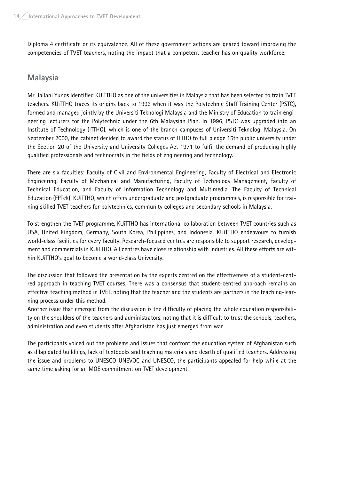Diploma 4 certificate or its equivalence. All of these government actions are geared toward improving the competencies of TVET teachers, noting the impact that a competent teacher has on quality workforce.

### **Malaysia**

Mr. Jailani Yunos identified KUiTTHO as one of the universities in Malaysia that has been selected to train TVET teachers. KUiTTHO traces its origins back to 1993 when it was the Polytechnic Staff Training Center (PSTC), formed and managed jointly by the Universiti Teknologi Malaysia and the Ministry of Education to train engineering lecturers for the Polytechnic under the 6th Malaysian Plan. In 1996, PSTC was upgraded into an Institute of Technology (ITTHO), which is one of the branch campuses of Universiti Teknologi Malaysia. On September 2000, the cabinet decided to award the status of ITTHO to full pledge 15th public university under the Section 20 of the University and University Colleges Act 1971 to fulfil the demand of producing highly qualified professionals and technocrats in the fields of engineering and technology.

There are six faculties: Faculty of Civil and Environmental Engineering, Faculty of Electrical and Electronic Engineering, Faculty of Mechanical and Manufacturing, Faculty of Technology Management, Faculty of Technical Education, and Faculty of Information Technology and Multimedia. The Faculty of Technical Education (FPTek), KUiTTHO, which offers undergraduate and postgraduate programmes, is responsible for training skilled TVET teachers for polytechnics, community colleges and secondary schools in Malaysia.

To strengthen the TVET programme, KUiTTHO has international collaboration between TVET countries such as USA, United Kingdom, Germany, South Korea, Philippines, and Indonesia. KUiTTHO endeavours to furnish world-class facilities for every faculty. Research-focused centres are responsible to support research, development and commercials in KUiTTHO. All centres have close relationship with industries. All these efforts are within KUiTTHO's goal to become a world-class University.

The discussion that followed the presentation by the experts centred on the effectiveness of a student-centred approach in teaching TVET courses. There was a consensus that student-centred approach remains an effective teaching method in TVET, noting that the teacher and the students are partners in the teaching-learning process under this method.

Another issue that emerged from the discussion is the difficulty of placing the whole education responsibility on the shoulders of the teachers and administrators, noting that it is difficult to trust the schools, teachers, administration and even students after Afghanistan has just emerged from war.

The participants voiced out the problems and issues that confront the education system of Afghanistan such as dilapidated buildings, lack of textbooks and teaching materials and dearth of qualified teachers. Addressing the issue and problems to UNESCO-UNEVOC and UNESCO, the participants appealed for help while at the same time asking for an MOE commitment on TVET development.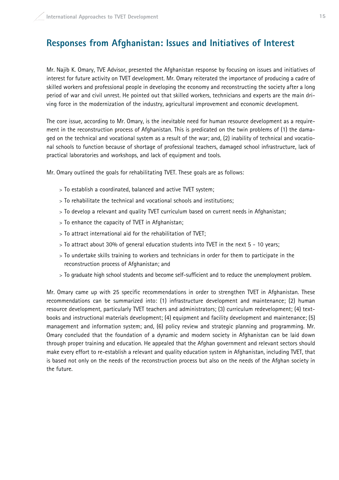### **Responses from Afghanistan: Issues and Initiatives of Interest**

Mr. Najib K. Omary, TVE Advisor, presented the Afghanistan response by focusing on issues and initiatives of interest for future activity on TVET development. Mr. Omary reiterated the importance of producing a cadre of skilled workers and professional people in developing the economy and reconstructing the society after a long period of war and civil unrest. He pointed out that skilled workers, technicians and experts are the main driving force in the modernization of the industry, agricultural improvement and economic development.

The core issue, according to Mr. Omary, is the inevitable need for human resource development as a requirement in the reconstruction process of Afghanistan. This is predicated on the twin problems of (1) the damaged on the technical and vocational system as a result of the war; and, (2) inability of technical and vocational schools to function because of shortage of professional teachers, damaged school infrastructure, lack of practical laboratories and workshops, and lack of equipment and tools.

Mr. Omary outlined the goals for rehabilitating TVET. These goals are as follows:

- > To establish a coordinated, balanced and active TVET system;
- > To rehabilitate the technical and vocational schools and institutions;
- > To develop a relevant and quality TVET curriculum based on current needs in Afghanistan;
- > To enhance the capacity of TVET in Afghanistan;
- > To attract international aid for the rehabilitation of TVET;
- $>$  To attract about 30% of general education students into TVET in the next 5 10 years;
- > To undertake skills training to workers and technicians in order for them to participate in the reconstruction process of Afghanistan; and
- > To graduate high school students and become self-sufficient and to reduce the unemployment problem.

Mr. Omary came up with 25 specific recommendations in order to strengthen TVET in Afghanistan. These recommendations can be summarized into: (1) infrastructure development and maintenance; (2) human resource development, particularly TVET teachers and administrators; (3) curriculum redevelopment; (4) textbooks and instructional materials development; (4) equipment and facility development and maintenance; (5) management and information system; and, (6) policy review and strategic planning and programming. Mr. Omary concluded that the foundation of a dynamic and modern society in Afghanistan can be laid down through proper training and education. He appealed that the Afghan government and relevant sectors should make every effort to re-establish a relevant and quality education system in Afghanistan, including TVET, that is based not only on the needs of the reconstruction process but also on the needs of the Afghan society in the future.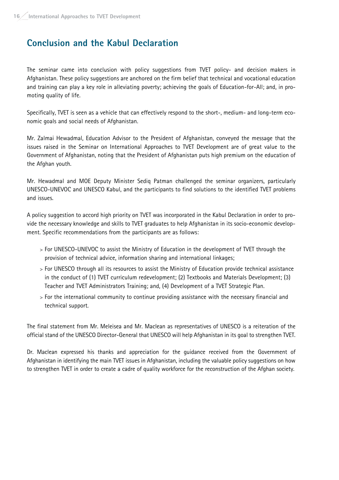# **Conclusion and the Kabul Declaration**

The seminar came into conclusion with policy suggestions from TVET policy- and decision makers in Afghanistan. These policy suggestions are anchored on the firm belief that technical and vocational education and training can play a key role in alleviating poverty; achieving the goals of Education-for-All; and, in promoting quality of life.

Specifically, TVET is seen as a vehicle that can effectively respond to the short-, medium- and long-term economic goals and social needs of Afghanistan.

Mr. Zalmai Hewadmal, Education Advisor to the President of Afghanistan, conveyed the message that the issues raised in the Seminar on International Approaches to TVET Development are of great value to the Government of Afghanistan, noting that the President of Afghanistan puts high premium on the education of the Afghan youth.

Mr. Hewadmal and MOE Deputy Minister Sediq Patman challenged the seminar organizers, particularly UNESCO-UNEVOC and UNESCO Kabul, and the participants to find solutions to the identified TVET problems and issues.

A policy suggestion to accord high priority on TVET was incorporated in the Kabul Declaration in order to provide the necessary knowledge and skills to TVET graduates to help Afghanistan in its socio-economic development. Specific recommendations from the participants are as follows:

- > For UNESCO-UNEVOC to assist the Ministry of Education in the development of TVET through the provision of technical advice, information sharing and international linkages;
- > For UNESCO through all its resources to assist the Ministry of Education provide technical assistance in the conduct of (1) TVET curriculum redevelopment; (2) Textbooks and Materials Development; (3) Teacher and TVET Administrators Training; and, (4) Development of a TVET Strategic Plan.
- > For the international community to continue providing assistance with the necessary financial and technical support.

The final statement from Mr. Meleisea and Mr. Maclean as representatives of UNESCO is a reiteration of the official stand of the UNESCO Director-General that UNESCO will help Afghanistan in its goal to strengthen TVET.

Dr. Maclean expressed his thanks and appreciation for the guidance received from the Government of Afghanistan in identifying the main TVET issues in Afghanistan, including the valuable policy suggestions on how to strengthen TVET in order to create a cadre of quality workforce for the reconstruction of the Afghan society.